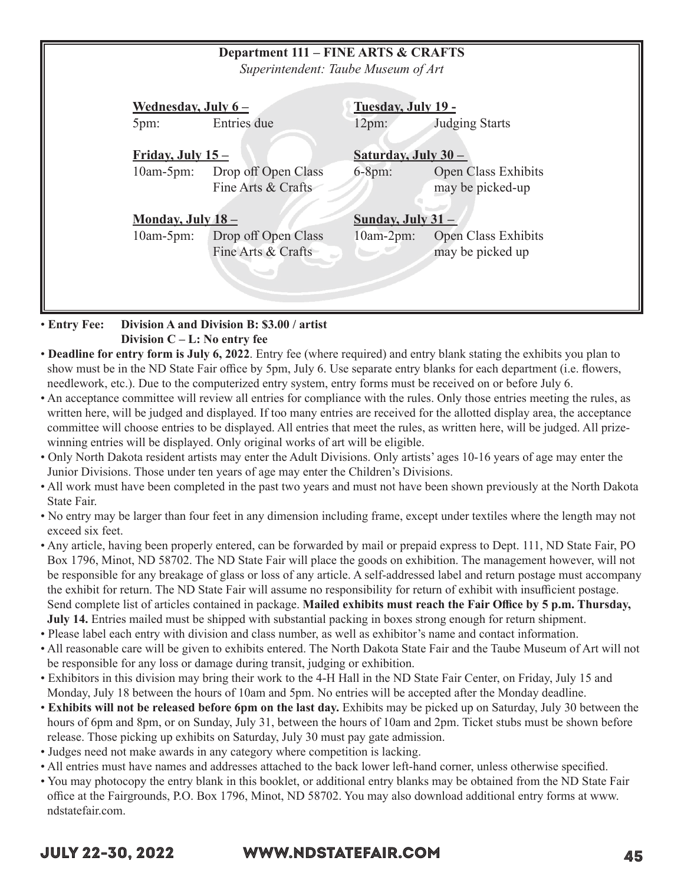| <b>Department 111 - FINE ARTS &amp; CRAFTS</b><br>Superintendent: Taube Museum of Art |                                    |                                            |                                     |                                                |  |
|---------------------------------------------------------------------------------------|------------------------------------|--------------------------------------------|-------------------------------------|------------------------------------------------|--|
|                                                                                       | Wednesday, July $6-$<br>5pm:       | Entries due                                | Tuesday, July 19 -<br>12pm:         | <b>Judging Starts</b>                          |  |
|                                                                                       | Friday, July $15-$<br>$10am-5pm$ : | Drop off Open Class<br>Fine Arts & Crafts  | Saturday, July 30 -<br>$6-8pm:$     | Open Class Exhibits<br>may be picked-up        |  |
|                                                                                       | Monday, July 18-<br>$10am-5pm$ :   | Drop off Open Class<br>Fine Arts & Crafts  | Sunday, July $31 -$<br>$10am-2pm$ : | <b>Open Class Exhibits</b><br>may be picked up |  |
| <b>Entry Fee:</b>                                                                     |                                    | Division A and Division B: \$3.00 / artist |                                     |                                                |  |

 **Division C – L: No entry fee**

- **Deadline for entry form is July 6, 2022**. Entry fee (where required) and entry blank stating the exhibits you plan to show must be in the ND State Fair office by 5pm, July 6. Use separate entry blanks for each department (i.e. flowers, needlework, etc.). Due to the computerized entry system, entry forms must be received on or before July 6.
- An acceptance committee will review all entries for compliance with the rules. Only those entries meeting the rules, as written here, will be judged and displayed. If too many entries are received for the allotted display area, the acceptance committee will choose entries to be displayed. All entries that meet the rules, as written here, will be judged. All prizewinning entries will be displayed. Only original works of art will be eligible.
- Only North Dakota resident artists may enter the Adult Divisions. Only artists' ages 10-16 years of age may enter the Junior Divisions. Those under ten years of age may enter the Children's Divisions.
- All work must have been completed in the past two years and must not have been shown previously at the North Dakota State Fair.
- No entry may be larger than four feet in any dimension including frame, except under textiles where the length may not exceed six feet.
- Any article, having been properly entered, can be forwarded by mail or prepaid express to Dept. 111, ND State Fair, PO Box 1796, Minot, ND 58702. The ND State Fair will place the goods on exhibition. The management however, will not be responsible for any breakage of glass or loss of any article. A self-addressed label and return postage must accompany the exhibit for return. The ND State Fair will assume no responsibility for return of exhibit with insufficient postage. Send complete list of articles contained in package. **Mailed exhibits must reach the Fair Office by 5 p.m. Thursday, July 14.** Entries mailed must be shipped with substantial packing in boxes strong enough for return shipment.
- Please label each entry with division and class number, as well as exhibitor's name and contact information.
- All reasonable care will be given to exhibits entered. The North Dakota State Fair and the Taube Museum of Art will not be responsible for any loss or damage during transit, judging or exhibition.
- Exhibitors in this division may bring their work to the 4-H Hall in the ND State Fair Center, on Friday, July 15 and Monday, July 18 between the hours of 10am and 5pm. No entries will be accepted after the Monday deadline.
- **Exhibits will not be released before 6pm on the last day.** Exhibits may be picked up on Saturday, July 30 between the hours of 6pm and 8pm, or on Sunday, July 31, between the hours of 10am and 2pm. Ticket stubs must be shown before release. Those picking up exhibits on Saturday, July 30 must pay gate admission.
- Judges need not make awards in any category where competition is lacking.
- All entries must have names and addresses attached to the back lower left-hand corner, unless otherwise specified.
- You may photocopy the entry blank in this booklet, or additional entry blanks may be obtained from the ND State Fair office at the Fairgrounds, P.O. Box 1796, Minot, ND 58702. You may also download additional entry forms at www. ndstatefair.com.

# JULY 22-30, 2022 WWW.NDSTATEFAIR.COM 45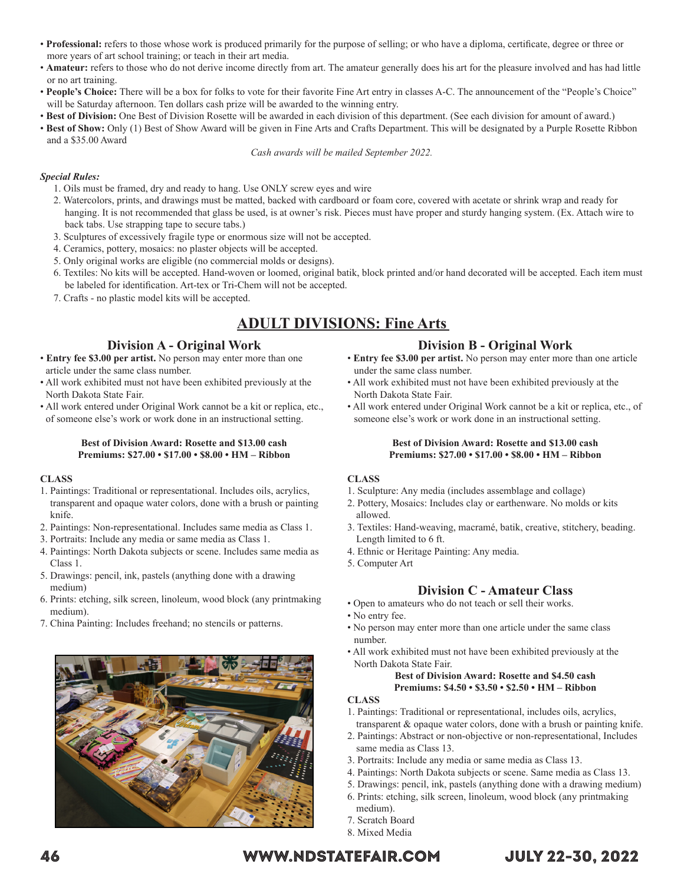- **Professional:** refers to those whose work is produced primarily for the purpose of selling; or who have a diploma, certificate, degree or three or more years of art school training; or teach in their art media.
- **Amateur:** refers to those who do not derive income directly from art. The amateur generally does his art for the pleasure involved and has had little or no art training.
- **People's Choice:** There will be a box for folks to vote for their favorite Fine Art entry in classes A-C. The announcement of the "People's Choice" will be Saturday afternoon. Ten dollars cash prize will be awarded to the winning entry.
- **Best of Division:** One Best of Division Rosette will be awarded in each division of this department. (See each division for amount of award.)
- **Best of Show:** Only (1) Best of Show Award will be given in Fine Arts and Crafts Department. This will be designated by a Purple Rosette Ribbon and a \$35.00 Award

*Cash awards will be mailed September 2022.*

#### *Special Rules:*

- 1. Oils must be framed, dry and ready to hang. Use ONLY screw eyes and wire
- 2. Watercolors, prints, and drawings must be matted, backed with cardboard or foam core, covered with acetate or shrink wrap and ready for hanging. It is not recommended that glass be used, is at owner's risk. Pieces must have proper and sturdy hanging system. (Ex. Attach wire to back tabs. Use strapping tape to secure tabs.)
- 3. Sculptures of excessively fragile type or enormous size will not be accepted.
- 4. Ceramics, pottery, mosaics: no plaster objects will be accepted.
- 5. Only original works are eligible (no commercial molds or designs).
- 6. Textiles: No kits will be accepted. Hand-woven or loomed, original batik, block printed and/or hand decorated will be accepted. Each item must be labeled for identification. Art-tex or Tri-Chem will not be accepted.
- 7. Crafts no plastic model kits will be accepted.

# **ADULT DIVISIONS: Fine Arts**

## **Division A - Original Work**

- **Entry fee \$3.00 per artist.** No person may enter more than one article under the same class number.
- All work exhibited must not have been exhibited previously at the North Dakota State Fair.
- All work entered under Original Work cannot be a kit or replica, etc., of someone else's work or work done in an instructional setting.

#### **Best of Division Award: Rosette and \$13.00 cash Premiums: \$27.00 • \$17.00 • \$8.00 • HM – Ribbon**

#### **CLASS**

- 1. Paintings: Traditional or representational. Includes oils, acrylics, transparent and opaque water colors, done with a brush or painting knife.
- 2. Paintings: Non-representational. Includes same media as Class 1.
- 3. Portraits: Include any media or same media as Class 1.
- 4. Paintings: North Dakota subjects or scene. Includes same media as Class 1.
- 5. Drawings: pencil, ink, pastels (anything done with a drawing medium)
- 6. Prints: etching, silk screen, linoleum, wood block (any printmaking medium).
- 7. China Painting: Includes freehand; no stencils or patterns.



## **Division B - Original Work**

- **Entry fee \$3.00 per artist.** No person may enter more than one article under the same class number.
- All work exhibited must not have been exhibited previously at the North Dakota State Fair.
- All work entered under Original Work cannot be a kit or replica, etc., of someone else's work or work done in an instructional setting.

#### **Best of Division Award: Rosette and \$13.00 cash Premiums: \$27.00 • \$17.00 • \$8.00 • HM – Ribbon**

#### **CLASS**

- 1. Sculpture: Any media (includes assemblage and collage)
- 2. Pottery, Mosaics: Includes clay or earthenware. No molds or kits allowed.
- 3. Textiles: Hand-weaving, macramé, batik, creative, stitchery, beading. Length limited to 6 ft.
- 4. Ethnic or Heritage Painting: Any media.
- 5. Computer Art

#### **Division C - Amateur Class**

- Open to amateurs who do not teach or sell their works.
- No entry fee.
- No person may enter more than one article under the same class number.
- All work exhibited must not have been exhibited previously at the North Dakota State Fair.

#### **Best of Division Award: Rosette and \$4.50 cash Premiums: \$4.50 • \$3.50 • \$2.50 • HM – Ribbon**

#### **CLASS**

- 1. Paintings: Traditional or representational, includes oils, acrylics,
- transparent & opaque water colors, done with a brush or painting knife. 2. Paintings: Abstract or non-objective or non-representational, Includes
- same media as Class 13.
- 3. Portraits: Include any media or same media as Class 13.
- 4. Paintings: North Dakota subjects or scene. Same media as Class 13.
- 5. Drawings: pencil, ink, pastels (anything done with a drawing medium)
- 6. Prints: etching, silk screen, linoleum, wood block (any printmaking medium).
- 7. Scratch Board
- 8. Mixed Media

# 46 WWW.NDSTATEFAIR.COM JULY 22-30, 2022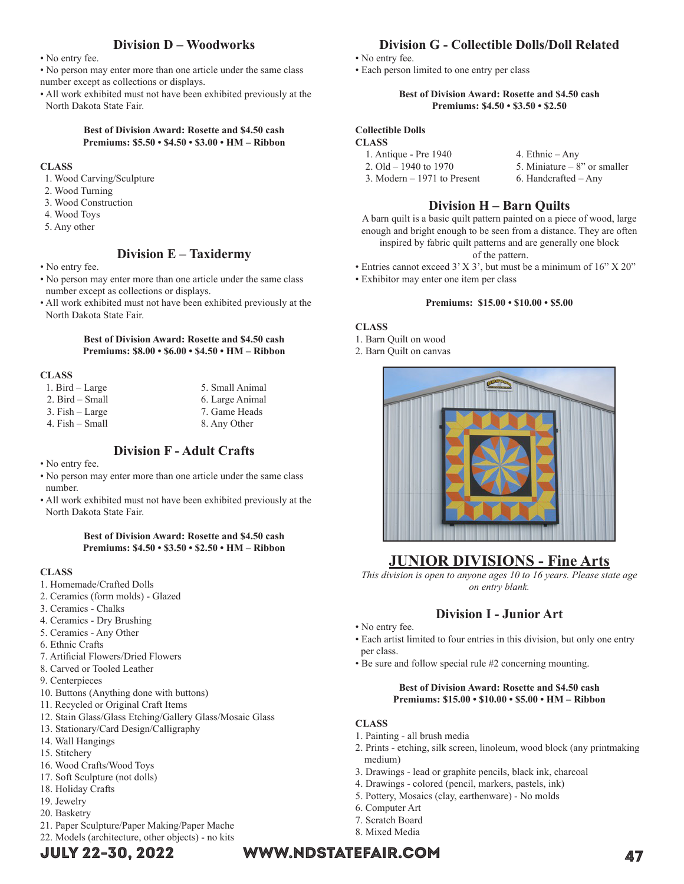## **Division D – Woodworks**

• No entry fee.

• No person may enter more than one article under the same class number except as collections or displays.

• All work exhibited must not have been exhibited previously at the North Dakota State Fair.

#### **Best of Division Award: Rosette and \$4.50 cash Premiums: \$5.50 • \$4.50 • \$3.00 • HM – Ribbon**

#### **CLASS**

- 1. Wood Carving/Sculpture
- 2. Wood Turning
- 3. Wood Construction
- 4. Wood Toys
- 5. Any other

### **Division E – Taxidermy**

- No entry fee.
- No person may enter more than one article under the same class number except as collections or displays.
- All work exhibited must not have been exhibited previously at the North Dakota State Fair.

#### **Best of Division Award: Rosette and \$4.50 cash Premiums: \$8.00 • \$6.00 • \$4.50 • HM – Ribbon**

#### **CLASS**

| 1. Bird $-$ Large   | 5. Small Animal |
|---------------------|-----------------|
| 2. Bird – Small     | 6. Large Animal |
| $3.$ Fish $-$ Large | 7. Game Heads   |
| $4.$ Fish $-$ Small | 8. Any Other    |

# **Division F - Adult Crafts**

- No entry fee.
- No person may enter more than one article under the same class number.
- All work exhibited must not have been exhibited previously at the North Dakota State Fair.

#### **Best of Division Award: Rosette and \$4.50 cash Premiums: \$4.50 • \$3.50 • \$2.50 • HM – Ribbon**

#### **CLASS**

- 1. Homemade/Crafted Dolls
- 2. Ceramics (form molds) Glazed
- 3. Ceramics Chalks
- 4. Ceramics Dry Brushing
- 5. Ceramics Any Other
- 6. Ethnic Crafts
- 7. Artificial Flowers/Dried Flowers
- 8. Carved or Tooled Leather
- 9. Centerpieces
- 10. Buttons (Anything done with buttons)
- 11. Recycled or Original Craft Items
- 12. Stain Glass/Glass Etching/Gallery Glass/Mosaic Glass
- 13. Stationary/Card Design/Calligraphy
- 14. Wall Hangings
- 15. Stitchery
- 16. Wood Crafts/Wood Toys
- 17. Soft Sculpture (not dolls)
- 18. Holiday Crafts
- 19. Jewelry
- 20. Basketry
- 21. Paper Sculpture/Paper Making/Paper Mache 22. Models (architecture, other objects) - no kits
- 

# **Division G - Collectible Dolls/Doll Related**

- No entry fee.
- Each person limited to one entry per class

#### **Best of Division Award: Rosette and \$4.50 cash Premiums: \$4.50 • \$3.50 • \$2.50**

### **Collectible Dolls**

- **CLASS**
	- 1. Antique Pre 1940 4. Ethnic Any<br>2. Old 1940 to 1970 5. Miniature 8 5. Miniature – 8" or smaller<br>6. Handcrafted – Any 3. Modern  $-1971$  to Present

# **Division H – Barn Quilts**

A barn quilt is a basic quilt pattern painted on a piece of wood, large enough and bright enough to be seen from a distance. They are often inspired by fabric quilt patterns and are generally one block of the pattern.

- Entries cannot exceed 3' X 3', but must be a minimum of 16" X 20"
- Exhibitor may enter one item per class

#### **Premiums: \$15.00 • \$10.00 • \$5.00**

#### **CLASS**

- 1. Barn Quilt on wood
- 2. Barn Quilt on canvas



# **JUNIOR DIVISIONS - Fine Arts**

*This division is open to anyone ages 10 to 16 years. Please state age on entry blank.*

# **Division I - Junior Art**

- No entry fee.
- Each artist limited to four entries in this division, but only one entry per class.
- Be sure and follow special rule #2 concerning mounting.

#### **Best of Division Award: Rosette and \$4.50 cash Premiums: \$15.00 • \$10.00 • \$5.00 • HM – Ribbon**

### **CLASS**

- 1. Painting all brush media
- 2. Prints etching, silk screen, linoleum, wood block (any printmaking medium)
- 3. Drawings lead or graphite pencils, black ink, charcoal
- 4. Drawings colored (pencil, markers, pastels, ink)
- 5. Pottery, Mosaics (clay, earthenware) No molds
- 6. Computer Art
- 7. Scratch Board
- 8. Mixed Media

# JULY 22-30, 2022 WWW.NDSTATEFAIR.COM 47